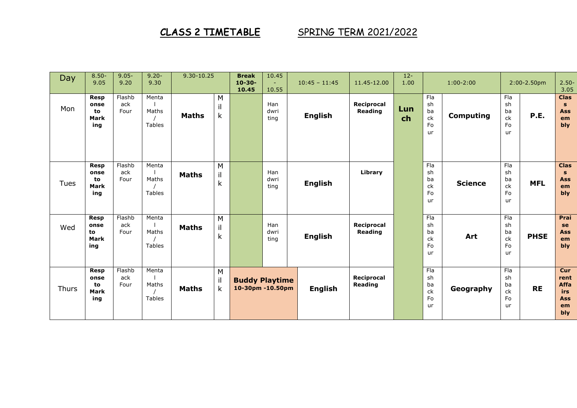## CLASS 2 TIMETABLE SPRING TERM 2021/2022

| Day   | $8.50 -$<br>9.05                                | $9.05 -$<br>9.20      | $9.20 -$<br>9.30                | 9.30-10.25   |                                 | <b>Break</b><br>$10 - 30 -$<br>10.45      | 10.45<br>$\sim$<br>10.55 | $10:45 - 11:45$ | 11.45-12.00                  | $12 -$<br>1.00 | $1:00-2:00$                       |                  | 2:00-2.50pm                              |             | $2.50 -$<br>3.05                                             |
|-------|-------------------------------------------------|-----------------------|---------------------------------|--------------|---------------------------------|-------------------------------------------|--------------------------|-----------------|------------------------------|----------------|-----------------------------------|------------------|------------------------------------------|-------------|--------------------------------------------------------------|
| Mon   | <b>Resp</b><br>onse<br>to<br><b>Mark</b><br>ing | Flashb<br>ack<br>Four | Menta<br>Maths<br><b>Tables</b> | <b>Maths</b> | M<br>il<br>$\mathsf k$          |                                           | Han<br>dwri<br>ting      | <b>English</b>  | Reciprocal<br>Reading        | Lun<br>ch      | Fla<br>sh<br>ba<br>ck<br>Fo<br>ur | <b>Computing</b> | Fla<br>sh<br>ba<br>ck<br>Fo<br>ur        | <b>P.E.</b> | <b>Clas</b><br>$\mathbf{s}$<br><b>Ass</b><br>em<br>bly       |
| Tues  | <b>Resp</b><br>onse<br>to<br><b>Mark</b><br>ing | Flashb<br>ack<br>Four | Menta<br>Maths<br>Tables        | <b>Maths</b> | M<br>il<br>$\sf k$              |                                           | Han<br>dwri<br>ting      | <b>English</b>  | Library                      |                | Fla<br>sh<br>ba<br>ck<br>Fo<br>ur | <b>Science</b>   | Fla<br>sh<br>ba<br>ck<br>Fo<br><b>ur</b> | <b>MFL</b>  | <b>Clas</b><br>$\mathbf{s}$<br><b>Ass</b><br>em<br>bly       |
| Wed   | <b>Resp</b><br>onse<br>to<br>Mark<br>ing        | Flashb<br>ack<br>Four | Menta<br>Maths<br><b>Tables</b> | <b>Maths</b> | M<br>il<br>$\sf k$              |                                           | Han<br>dwri<br>ting      | <b>English</b>  | Reciprocal<br>Reading        |                | Fla<br>sh<br>ba<br>ck<br>Fo<br>ur | Art              | Fla<br>sh<br>ba<br>ck<br>Fo<br><b>ur</b> | <b>PHSE</b> | Prai<br>se<br><b>Ass</b><br>em<br>bly                        |
| Thurs | <b>Resp</b><br>onse<br>to<br><b>Mark</b><br>ing | Flashb<br>ack<br>Four | Menta<br>Maths<br><b>Tables</b> | <b>Maths</b> | M<br>$\mathbf i$<br>$\mathsf k$ | <b>Buddy Playtime</b><br>10-30pm -10.50pm |                          | <b>English</b>  | Reciprocal<br><b>Reading</b> |                | Fla<br>sh<br>ba<br>ck<br>Fo<br>ur | Geography        | Fla<br>sh<br>ba<br>ck<br>Fo<br><b>ur</b> | <b>RE</b>   | Cur<br>rent<br>Affa<br><b>irs</b><br><b>Ass</b><br>em<br>bly |